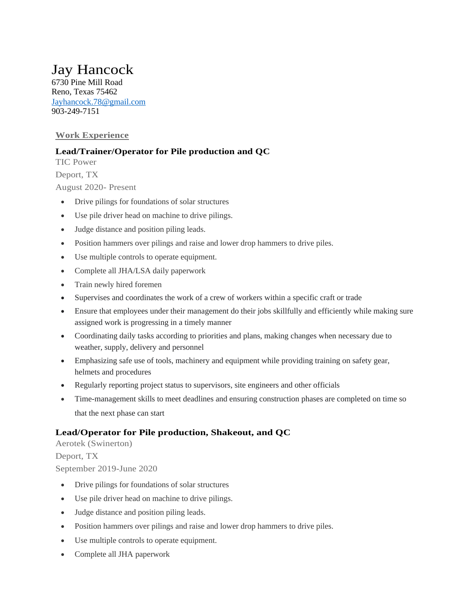# Jay Hancock

6730 Pine Mill Road Reno, Texas 75462 [Jayhancock.78@gmail.com](mailto:Jayhancock.78@gmail.com) 903-249-7151

## **Work Experience**

## **Lead/Trainer/Operator for Pile production and QC**

TIC Power Deport, TX

August 2020- Present

- Drive pilings for foundations of solar structures
- Use pile driver head on machine to drive pilings.
- Judge distance and position piling leads.
- Position hammers over pilings and raise and lower drop hammers to drive piles.
- Use multiple controls to operate equipment.
- Complete all JHA/LSA daily paperwork
- Train newly hired foremen
- Supervises and coordinates the work of a crew of workers within a specific craft or trade
- Ensure that employees under their management do their jobs skillfully and efficiently while making sure assigned work is progressing in a timely manner
- Coordinating daily tasks according to priorities and plans, making changes when necessary due to weather, supply, delivery and personnel
- Emphasizing safe use of tools, machinery and equipment while providing training on safety gear, helmets and procedures
- Regularly reporting project status to supervisors, site engineers and other officials
- Time-management skills to meet deadlines and ensuring construction phases are completed on time so that the next phase can start

# **Lead/Operator for Pile production, Shakeout, and QC**

Aerotek (Swinerton)

#### Deport, TX

September 2019-June 2020

- Drive pilings for foundations of solar structures
- Use pile driver head on machine to drive pilings.
- Judge distance and position piling leads.
- Position hammers over pilings and raise and lower drop hammers to drive piles.
- Use multiple controls to operate equipment.
- Complete all JHA paperwork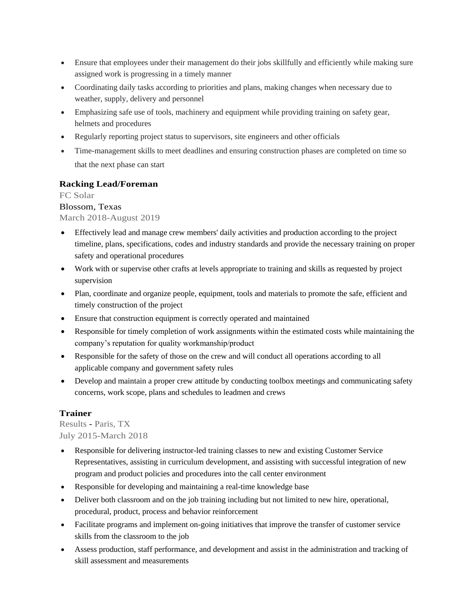- Ensure that employees under their management do their jobs skillfully and efficiently while making sure assigned work is progressing in a timely manner
- Coordinating daily tasks according to priorities and plans, making changes when necessary due to weather, supply, delivery and personnel
- Emphasizing safe use of tools, machinery and equipment while providing training on safety gear, helmets and procedures
- Regularly reporting project status to supervisors, site engineers and other officials
- Time-management skills to meet deadlines and ensuring construction phases are completed on time so that the next phase can start

### **Racking Lead/Foreman**

FC Solar

#### Blossom, Texas

#### March 2018-August 2019

- Effectively lead and manage crew members' daily activities and production according to the project timeline, plans, specifications, codes and industry standards and provide the necessary training on proper safety and operational procedures
- Work with or supervise other crafts at levels appropriate to training and skills as requested by project supervision
- Plan, coordinate and organize people, equipment, tools and materials to promote the safe, efficient and timely construction of the project
- Ensure that construction equipment is correctly operated and maintained
- Responsible for timely completion of work assignments within the estimated costs while maintaining the company's reputation for quality workmanship/product
- Responsible for the safety of those on the crew and will conduct all operations according to all applicable company and government safety rules
- Develop and maintain a proper crew attitude by conducting toolbox meetings and communicating safety concerns, work scope, plans and schedules to leadmen and crews

#### **Trainer**

Results - Paris, TX July 2015-March 2018

- Responsible for delivering instructor-led training classes to new and existing Customer Service Representatives, assisting in curriculum development, and assisting with successful integration of new program and product policies and procedures into the call center environment
- Responsible for developing and maintaining a real-time knowledge base
- Deliver both classroom and on the job training including but not limited to new hire, operational, procedural, product, process and behavior reinforcement
- Facilitate programs and implement on-going initiatives that improve the transfer of customer service skills from the classroom to the job
- Assess production, staff performance, and development and assist in the administration and tracking of skill assessment and measurements